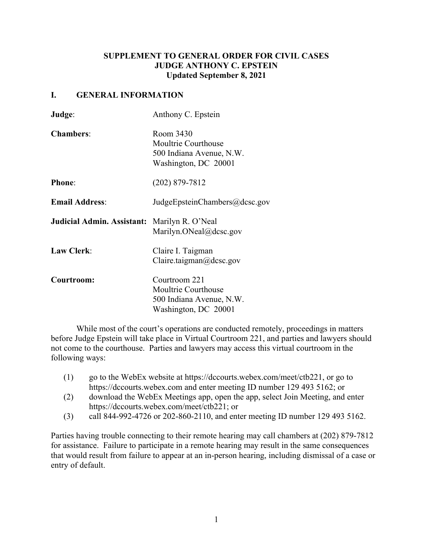# **SUPPLEMENT TO GENERAL ORDER FOR CIVIL CASES JUDGE ANTHONY C. EPSTEIN Updated September 8, 2021**

### **I. GENERAL INFORMATION**

| Judge:                            | Anthony C. Epstein                                                                       |
|-----------------------------------|------------------------------------------------------------------------------------------|
| <b>Chambers:</b>                  | Room 3430<br>Moultrie Courthouse<br>500 Indiana Avenue, N.W.<br>Washington, DC 20001     |
| <b>Phone:</b>                     | $(202)$ 879-7812                                                                         |
| <b>Email Address:</b>             | JudgeEpsteinChambers@dcsc.gov                                                            |
| <b>Judicial Admin. Assistant:</b> | Marilyn R. O'Neal<br>Marilyn.ONeal@dcsc.gov                                              |
| <b>Law Clerk:</b>                 | Claire I. Taigman<br>Claire.taigman@dcsc.gov                                             |
| Courtroom:                        | Courtroom 221<br>Moultrie Courthouse<br>500 Indiana Avenue, N.W.<br>Washington, DC 20001 |

While most of the court's operations are conducted remotely, proceedings in matters before Judge Epstein will take place in Virtual Courtroom 221, and parties and lawyers should not come to the courthouse. Parties and lawyers may access this virtual courtroom in the following ways:

- (1) go to the WebEx website at https://dccourts.webex.com/meet/ctb221, or go to https://dccourts.webex.com and enter meeting ID number 129 493 5162; or
- (2) download the WebEx Meetings app, open the app, select Join Meeting, and enter https://dccourts.webex.com/meet/ctb221; or
- (3) call 844-992-4726 or 202-860-2110, and enter meeting ID number 129 493 5162.

Parties having trouble connecting to their remote hearing may call chambers at (202) 879-7812 for assistance. Failure to participate in a remote hearing may result in the same consequences that would result from failure to appear at an in-person hearing, including dismissal of a case or entry of default.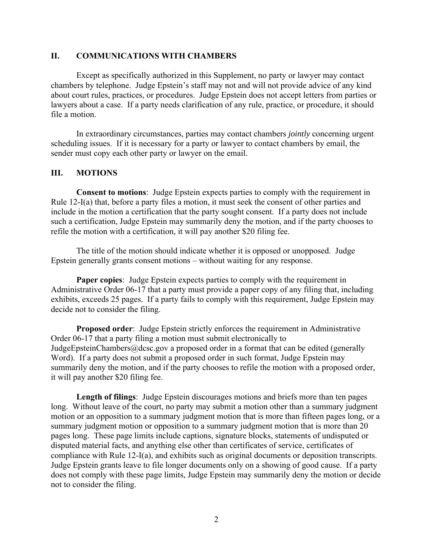### **II. COMMUNICATIONS WITH CHAMBERS**

Except as specifically authorized in this Supplement, no party or lawyer may contact chambers by telephone. Judge Epstein's staff may not and will not provide advice of any kind about court rules, practices, or procedures. Judge Epstein does not accept letters from parties or lawyers about a case. If a party needs clarification of any rule, practice, or procedure, it should file a motion.

In extraordinary circumstances, parties may contact chambers *jointly* concerning urgent scheduling issues. If it is necessary for a party or lawyer to contact chambers by email, the sender must copy each other party or lawyer on the email.

#### **III. MOTIONS**

**Consent to motions**: Judge Epstein expects parties to comply with the requirement in Rule 12-I(a) that, before a party files a motion, it must seek the consent of other parties and include in the motion a certification that the party sought consent. If a party does not include such a certification, Judge Epstein may summarily deny the motion, and if the party chooses to refile the motion with a certification, it will pay another \$20 filing fee.

The title of the motion should indicate whether it is opposed or unopposed. Judge Epstein generally grants consent motions – without waiting for any response.

**Paper copies**: Judge Epstein expects parties to comply with the requirement in Administrative Order 06-17 that a party must provide a paper copy of any filing that, including exhibits, exceeds 25 pages. If a party fails to comply with this requirement, Judge Epstein may decide not to consider the filing.

**Proposed order**: Judge Epstein strictly enforces the requirement in Administrative Order 06-17 that a party filing a motion must submit electronically to JudgeEpsteinChambers@dcsc.gov a proposed order in a format that can be edited (generally Word). If a party does not submit a proposed order in such format, Judge Epstein may summarily deny the motion, and if the party chooses to refile the motion with a proposed order, it will pay another \$20 filing fee.

**Length of filings**: Judge Epstein discourages motions and briefs more than ten pages long. Without leave of the court, no party may submit a motion other than a summary judgment motion or an opposition to a summary judgment motion that is more than fifteen pages long, or a summary judgment motion or opposition to a summary judgment motion that is more than 20 pages long. These page limits include captions, signature blocks, statements of undisputed or disputed material facts, and anything else other than certificates of service, certificates of compliance with Rule 12-I(a), and exhibits such as original documents or deposition transcripts. Judge Epstein grants leave to file longer documents only on a showing of good cause. If a party does not comply with these page limits, Judge Epstein may summarily deny the motion or decide not to consider the filing.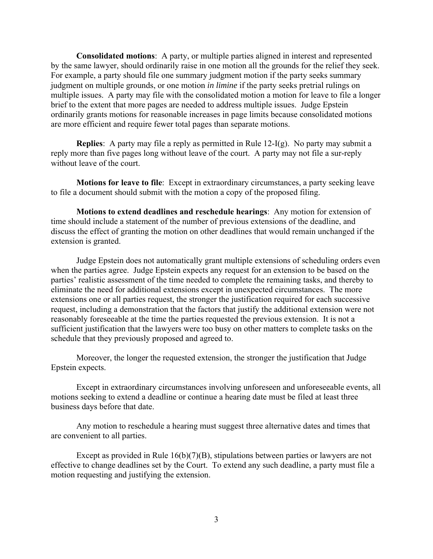**Consolidated motions**: A party, or multiple parties aligned in interest and represented by the same lawyer, should ordinarily raise in one motion all the grounds for the relief they seek. For example, a party should file one summary judgment motion if the party seeks summary judgment on multiple grounds, or one motion *in limine* if the party seeks pretrial rulings on multiple issues. A party may file with the consolidated motion a motion for leave to file a longer brief to the extent that more pages are needed to address multiple issues. Judge Epstein ordinarily grants motions for reasonable increases in page limits because consolidated motions are more efficient and require fewer total pages than separate motions.

**Replies**: A party may file a reply as permitted in Rule 12-I(g). No party may submit a reply more than five pages long without leave of the court. A party may not file a sur-reply without leave of the court.

**Motions for leave to file**: Except in extraordinary circumstances, a party seeking leave to file a document should submit with the motion a copy of the proposed filing.

**Motions to extend deadlines and reschedule hearings**: Any motion for extension of time should include a statement of the number of previous extensions of the deadline, and discuss the effect of granting the motion on other deadlines that would remain unchanged if the extension is granted.

Judge Epstein does not automatically grant multiple extensions of scheduling orders even when the parties agree. Judge Epstein expects any request for an extension to be based on the parties' realistic assessment of the time needed to complete the remaining tasks, and thereby to eliminate the need for additional extensions except in unexpected circumstances. The more extensions one or all parties request, the stronger the justification required for each successive request, including a demonstration that the factors that justify the additional extension were not reasonably foreseeable at the time the parties requested the previous extension. It is not a sufficient justification that the lawyers were too busy on other matters to complete tasks on the schedule that they previously proposed and agreed to.

Moreover, the longer the requested extension, the stronger the justification that Judge Epstein expects.

Except in extraordinary circumstances involving unforeseen and unforeseeable events, all motions seeking to extend a deadline or continue a hearing date must be filed at least three business days before that date.

Any motion to reschedule a hearing must suggest three alternative dates and times that are convenient to all parties.

Except as provided in Rule 16(b)(7)(B), stipulations between parties or lawyers are not effective to change deadlines set by the Court. To extend any such deadline, a party must file a motion requesting and justifying the extension.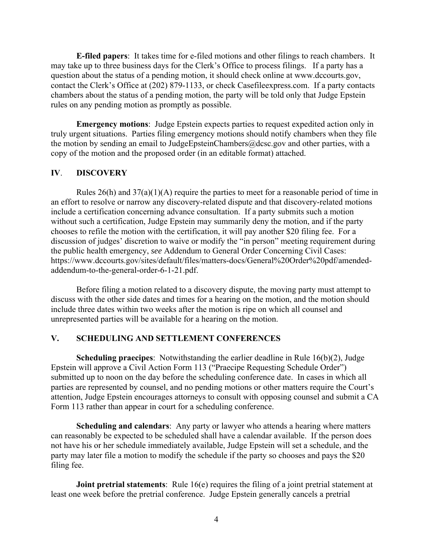**E-filed papers**: It takes time for e-filed motions and other filings to reach chambers. It may take up to three business days for the Clerk's Office to process filings. If a party has a question about the status of a pending motion, it should check online at www.dccourts.gov, contact the Clerk's Office at (202) 879-1133, or check Casefileexpress.com. If a party contacts chambers about the status of a pending motion, the party will be told only that Judge Epstein rules on any pending motion as promptly as possible.

**Emergency motions**: Judge Epstein expects parties to request expedited action only in truly urgent situations. Parties filing emergency motions should notify chambers when they file the motion by sending an email to JudgeEpsteinChambers@dcsc.gov and other parties, with a copy of the motion and the proposed order (in an editable format) attached.

### **IV**. **DISCOVERY**

Rules  $26(h)$  and  $37(a)(1)(A)$  require the parties to meet for a reasonable period of time in an effort to resolve or narrow any discovery-related dispute and that discovery-related motions include a certification concerning advance consultation. If a party submits such a motion without such a certification, Judge Epstein may summarily deny the motion, and if the party chooses to refile the motion with the certification, it will pay another \$20 filing fee. For a discussion of judges' discretion to waive or modify the "in person" meeting requirement during the public health emergency, *see* Addendum to General Order Concerning Civil Cases: https://www.dccourts.gov/sites/default/files/matters-docs/General%20Order%20pdf/amendedaddendum-to-the-general-order-6-1-21.pdf.

Before filing a motion related to a discovery dispute, the moving party must attempt to discuss with the other side dates and times for a hearing on the motion, and the motion should include three dates within two weeks after the motion is ripe on which all counsel and unrepresented parties will be available for a hearing on the motion.

### **V. SCHEDULING AND SETTLEMENT CONFERENCES**

**Scheduling praecipes**: Notwithstanding the earlier deadline in Rule 16(b)(2), Judge Epstein will approve a Civil Action Form 113 ("Praecipe Requesting Schedule Order") submitted up to noon on the day before the scheduling conference date. In cases in which all parties are represented by counsel, and no pending motions or other matters require the Court's attention, Judge Epstein encourages attorneys to consult with opposing counsel and submit a CA Form 113 rather than appear in court for a scheduling conference.

**Scheduling and calendars**: Any party or lawyer who attends a hearing where matters can reasonably be expected to be scheduled shall have a calendar available. If the person does not have his or her schedule immediately available, Judge Epstein will set a schedule, and the party may later file a motion to modify the schedule if the party so chooses and pays the \$20 filing fee.

**Joint pretrial statements**: Rule 16(e) requires the filing of a joint pretrial statement at least one week before the pretrial conference. Judge Epstein generally cancels a pretrial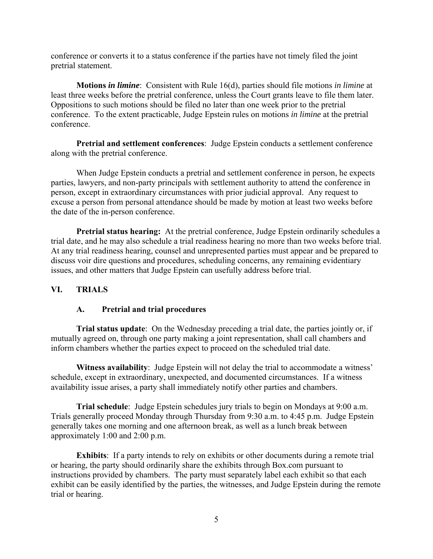conference or converts it to a status conference if the parties have not timely filed the joint pretrial statement.

**Motions** *in limine*: Consistent with Rule 16(d), parties should file motions *in limine* at least three weeks before the pretrial conference, unless the Court grants leave to file them later. Oppositions to such motions should be filed no later than one week prior to the pretrial conference. To the extent practicable, Judge Epstein rules on motions *in limine* at the pretrial conference.

**Pretrial and settlement conferences**: Judge Epstein conducts a settlement conference along with the pretrial conference.

When Judge Epstein conducts a pretrial and settlement conference in person, he expects parties, lawyers, and non-party principals with settlement authority to attend the conference in person, except in extraordinary circumstances with prior judicial approval. Any request to excuse a person from personal attendance should be made by motion at least two weeks before the date of the in-person conference.

**Pretrial status hearing:** At the pretrial conference, Judge Epstein ordinarily schedules a trial date, and he may also schedule a trial readiness hearing no more than two weeks before trial. At any trial readiness hearing, counsel and unrepresented parties must appear and be prepared to discuss voir dire questions and procedures, scheduling concerns, any remaining evidentiary issues, and other matters that Judge Epstein can usefully address before trial.

# **VI. TRIALS**

### **A. Pretrial and trial procedures**

**Trial status update**: On the Wednesday preceding a trial date, the parties jointly or, if mutually agreed on, through one party making a joint representation, shall call chambers and inform chambers whether the parties expect to proceed on the scheduled trial date.

**Witness availability**: Judge Epstein will not delay the trial to accommodate a witness' schedule, except in extraordinary, unexpected, and documented circumstances. If a witness availability issue arises, a party shall immediately notify other parties and chambers.

**Trial schedule**: Judge Epstein schedules jury trials to begin on Mondays at 9:00 a.m. Trials generally proceed Monday through Thursday from 9:30 a.m. to 4:45 p.m. Judge Epstein generally takes one morning and one afternoon break, as well as a lunch break between approximately 1:00 and 2:00 p.m.

**Exhibits**: If a party intends to rely on exhibits or other documents during a remote trial or hearing, the party should ordinarily share the exhibits through Box.com pursuant to instructions provided by chambers. The party must separately label each exhibit so that each exhibit can be easily identified by the parties, the witnesses, and Judge Epstein during the remote trial or hearing.